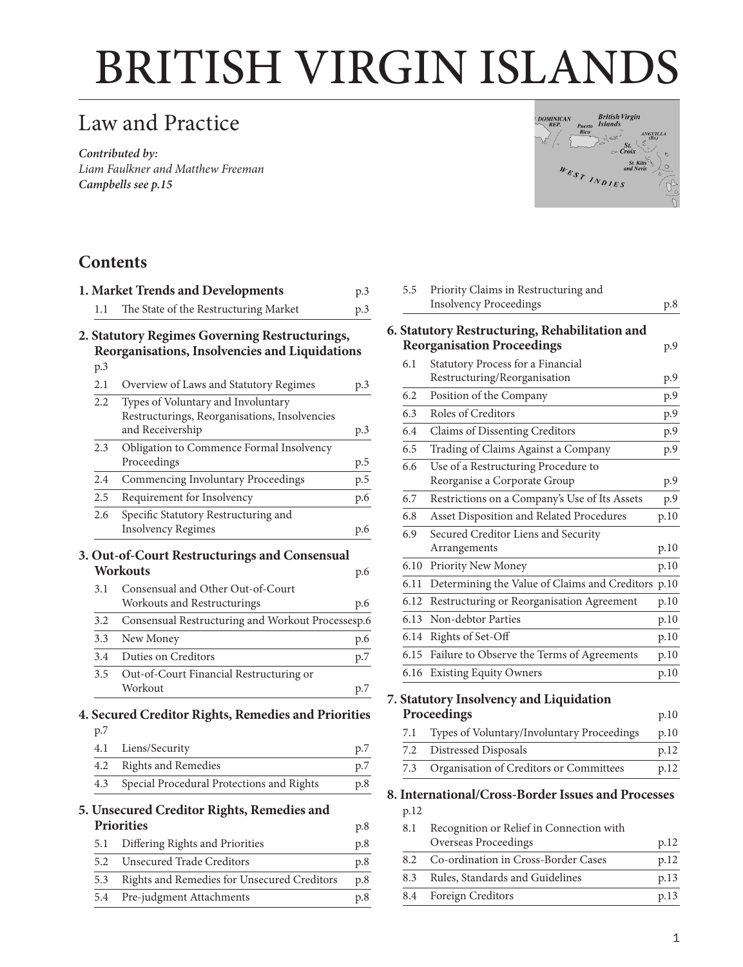# BRITISH VIRGIN ISLANDS

# Law and Practice

*Contributed by: Liam Faulkner and Matthew Freeman Campbells [see p.15](#page-14-0)*



## **Contents**

|     | 1. Market Trends and Developments                                                                       | p.3 |
|-----|---------------------------------------------------------------------------------------------------------|-----|
| 1.1 | The State of the Restructuring Market                                                                   | p.3 |
|     | 2. Statutory Regimes Governing Restructurings,<br>Reorganisations, Insolvencies and Liquidations        |     |
| p.3 |                                                                                                         |     |
| 2.1 | Overview of Laws and Statutory Regimes                                                                  | p.3 |
| 2.2 | Types of Voluntary and Involuntary<br>Restructurings, Reorganisations, Insolvencies<br>and Receivership | p.3 |
| 2.3 | Obligation to Commence Formal Insolvency<br>Proceedings                                                 | p.5 |
| 2.4 | Commencing Involuntary Proceedings                                                                      | p.5 |
| 2.5 | Requirement for Insolvency                                                                              | p.6 |
| 2.6 | Specific Statutory Restructuring and<br><b>Insolvency Regimes</b>                                       | p.6 |
|     | 3. Out-of-Court Restructurings and Consensual<br><b>Workouts</b>                                        | p.6 |
| 3.1 | Consensual and Other Out-of-Court<br>Workouts and Restructurings                                        | p.6 |
| 3.2 | Consensual Restructuring and Workout Processesp.6                                                       |     |
| 3.3 | New Money                                                                                               | p.6 |
| 3.4 | Duties on Creditors                                                                                     | p.7 |
| 3.5 | Out-of-Court Financial Restructuring or<br>Workout                                                      | p.7 |
|     | 4. Secured Creditor Rights, Remedies and Priorities                                                     |     |
| p.7 |                                                                                                         |     |
| 4.1 | Liens/Security                                                                                          | p.7 |
| 4.2 | <b>Rights and Remedies</b>                                                                              | p.7 |
| 4.3 | Special Procedural Protections and Rights                                                               | p.8 |
|     | 5. Unsecured Creditor Rights, Remedies and<br><b>Priorities</b>                                         | p.8 |
| 5.1 | Differing Rights and Priorities                                                                         | p.8 |
| 5.2 | <b>Unsecured Trade Creditors</b>                                                                        | p.8 |
| 5.3 | Rights and Remedies for Unsecured Creditors                                                             | p.8 |
| 5.4 | Pre-judgment Attachments                                                                                | p.8 |

| 5.5  | Priority Claims in Restructuring and               |        |
|------|----------------------------------------------------|--------|
|      | <b>Insolvency Proceedings</b>                      | p.8    |
|      | 6. Statutory Restructuring, Rehabilitation and     |        |
|      | <b>Reorganisation Proceedings</b>                  | p.9    |
| 6.1  | Statutory Process for a Financial                  |        |
|      | Restructuring/Reorganisation                       | p.9    |
| 6.2  | Position of the Company                            | p.9    |
| 6.3  | Roles of Creditors                                 | p.9    |
| 6.4  | Claims of Dissenting Creditors                     | p.9    |
| 6.5  | Trading of Claims Against a Company                | p.9    |
| 6.6  | Use of a Restructuring Procedure to                |        |
|      | Reorganise a Corporate Group                       | p.9    |
| 6.7  | Restrictions on a Company's Use of Its Assets      | p.9    |
| 6.8  | Asset Disposition and Related Procedures           | p.10   |
| 6.9  | Secured Creditor Liens and Security                |        |
|      | Arrangements                                       | p.10   |
| 6.10 | Priority New Money                                 | p.10   |
| 6.11 | Determining the Value of Claims and Creditors      | p.10   |
| 6.12 | Restructuring or Reorganisation Agreement          | p.10   |
| 6.13 | Non-debtor Parties                                 | p.10   |
| 6.14 | Rights of Set-Off                                  | p.10   |
| 6.15 | Failure to Observe the Terms of Agreements         | p.10   |
| 6.16 | <b>Existing Equity Owners</b>                      | p.10   |
|      | 7. Statutory Insolvency and Liquidation            |        |
|      | Proceedings                                        | p.10   |
| 7.1  | Types of Voluntary/Involuntary Proceedings         | p.10   |
| 7.2  | Distressed Disposals                               | p.12   |
| 7.3  | Organisation of Creditors or Committees            | p.12   |
|      | 8. International/Cross-Border Issues and Processes |        |
| p.12 |                                                    |        |
| 8.1  | Recognition or Relief in Connection with           |        |
|      | $\sim$ 1.                                          | $\sim$ |

|     | Overseas Proceedings                | p.12 |
|-----|-------------------------------------|------|
| 8.2 | Co-ordination in Cross-Border Cases | p.12 |
| 8.3 | Rules, Standards and Guidelines     | p.13 |
|     | 8.4 Foreign Creditors               | p.13 |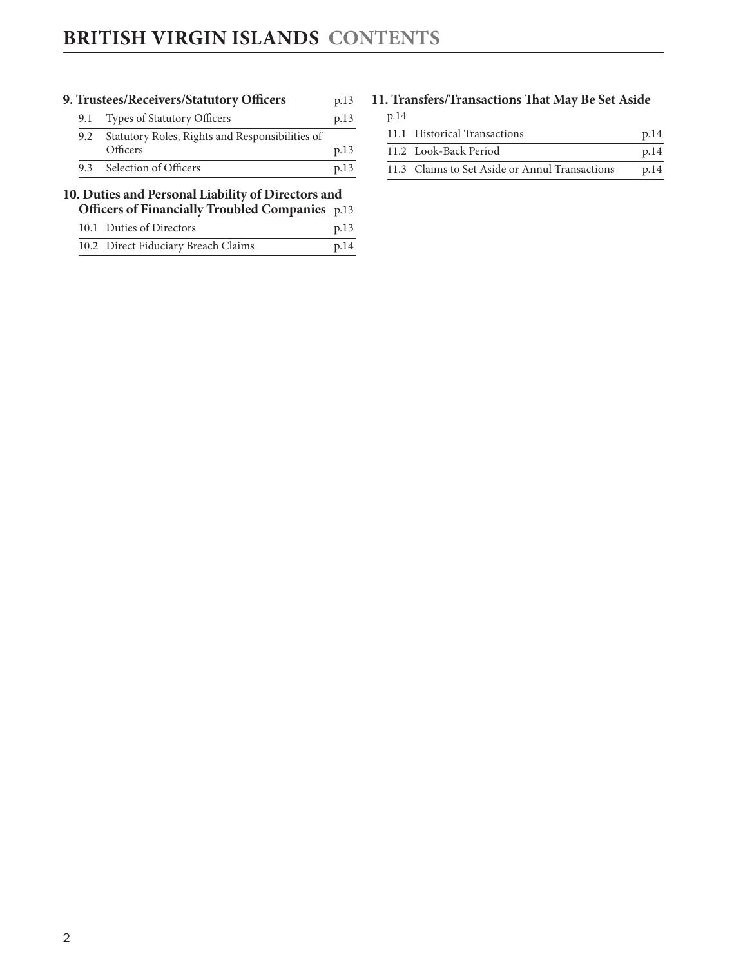|     | 9. Trustees/Receivers/Statutory Officers           | p.13 |
|-----|----------------------------------------------------|------|
| 9.1 | <b>Types of Statutory Officers</b>                 | p.13 |
| 9.2 | Statutory Roles, Rights and Responsibilities of    |      |
|     | Officers                                           | p.13 |
|     |                                                    |      |
| 9.3 | Selection of Officers                              | p.13 |
|     | 10. Duties and Personal Liability of Directors and |      |
|     | Officers of Financially Troubled Companies p.13    |      |
|     | 10.1 Duties of Directors                           | p.13 |

#### **[11. Transfers/Transactions That May Be Set Aside](#page-13-0)** [p.14](#page-13-0)

| 11.1 Historical Transactions                   | p.14 |
|------------------------------------------------|------|
| 11.2 Look-Back Period                          | p.14 |
| 11.3 Claims to Set Aside or Annul Transactions | p.14 |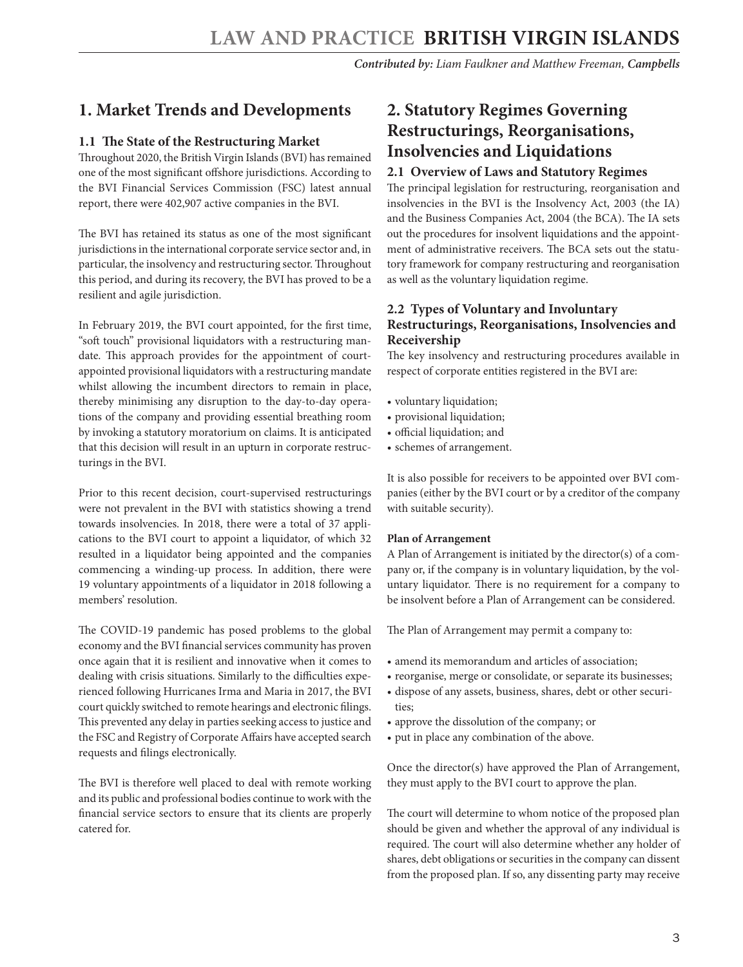## <span id="page-2-0"></span>**1. Market Trends and Developments**

#### **1.1 The State of the Restructuring Market**

Throughout 2020, the British Virgin Islands (BVI) has remained one of the most significant offshore jurisdictions. According to the BVI Financial Services Commission (FSC) latest annual report, there were 402,907 active companies in the BVI.

The BVI has retained its status as one of the most significant jurisdictions in the international corporate service sector and, in particular, the insolvency and restructuring sector. Throughout this period, and during its recovery, the BVI has proved to be a resilient and agile jurisdiction.

In February 2019, the BVI court appointed, for the first time, "soft touch" provisional liquidators with a restructuring mandate. This approach provides for the appointment of courtappointed provisional liquidators with a restructuring mandate whilst allowing the incumbent directors to remain in place, thereby minimising any disruption to the day-to-day operations of the company and providing essential breathing room by invoking a statutory moratorium on claims. It is anticipated that this decision will result in an upturn in corporate restructurings in the BVI.

Prior to this recent decision, court-supervised restructurings were not prevalent in the BVI with statistics showing a trend towards insolvencies. In 2018, there were a total of 37 applications to the BVI court to appoint a liquidator, of which 32 resulted in a liquidator being appointed and the companies commencing a winding-up process. In addition, there were 19 voluntary appointments of a liquidator in 2018 following a members' resolution.

The COVID-19 pandemic has posed problems to the global economy and the BVI financial services community has proven once again that it is resilient and innovative when it comes to dealing with crisis situations. Similarly to the difficulties experienced following Hurricanes Irma and Maria in 2017, the BVI court quickly switched to remote hearings and electronic filings. This prevented any delay in parties seeking access to justice and the FSC and Registry of Corporate Affairs have accepted search requests and filings electronically.

The BVI is therefore well placed to deal with remote working and its public and professional bodies continue to work with the financial service sectors to ensure that its clients are properly catered for.

# **2. Statutory Regimes Governing Restructurings, Reorganisations, Insolvencies and Liquidations**

#### **2.1 Overview of Laws and Statutory Regimes**

The principal legislation for restructuring, reorganisation and insolvencies in the BVI is the Insolvency Act, 2003 (the IA) and the Business Companies Act, 2004 (the BCA). The IA sets out the procedures for insolvent liquidations and the appointment of administrative receivers. The BCA sets out the statutory framework for company restructuring and reorganisation as well as the voluntary liquidation regime.

#### **2.2 Types of Voluntary and Involuntary Restructurings, Reorganisations, Insolvencies and Receivership**

The key insolvency and restructuring procedures available in respect of corporate entities registered in the BVI are:

- voluntary liquidation;
- provisional liquidation;
- official liquidation; and
- schemes of arrangement.

It is also possible for receivers to be appointed over BVI companies (either by the BVI court or by a creditor of the company with suitable security).

#### **Plan of Arrangement**

A Plan of Arrangement is initiated by the director(s) of a company or, if the company is in voluntary liquidation, by the voluntary liquidator. There is no requirement for a company to be insolvent before a Plan of Arrangement can be considered.

The Plan of Arrangement may permit a company to:

- amend its memorandum and articles of association;
- reorganise, merge or consolidate, or separate its businesses;
- dispose of any assets, business, shares, debt or other securities;
- approve the dissolution of the company; or
- put in place any combination of the above.

Once the director(s) have approved the Plan of Arrangement, they must apply to the BVI court to approve the plan.

The court will determine to whom notice of the proposed plan should be given and whether the approval of any individual is required. The court will also determine whether any holder of shares, debt obligations or securities in the company can dissent from the proposed plan. If so, any dissenting party may receive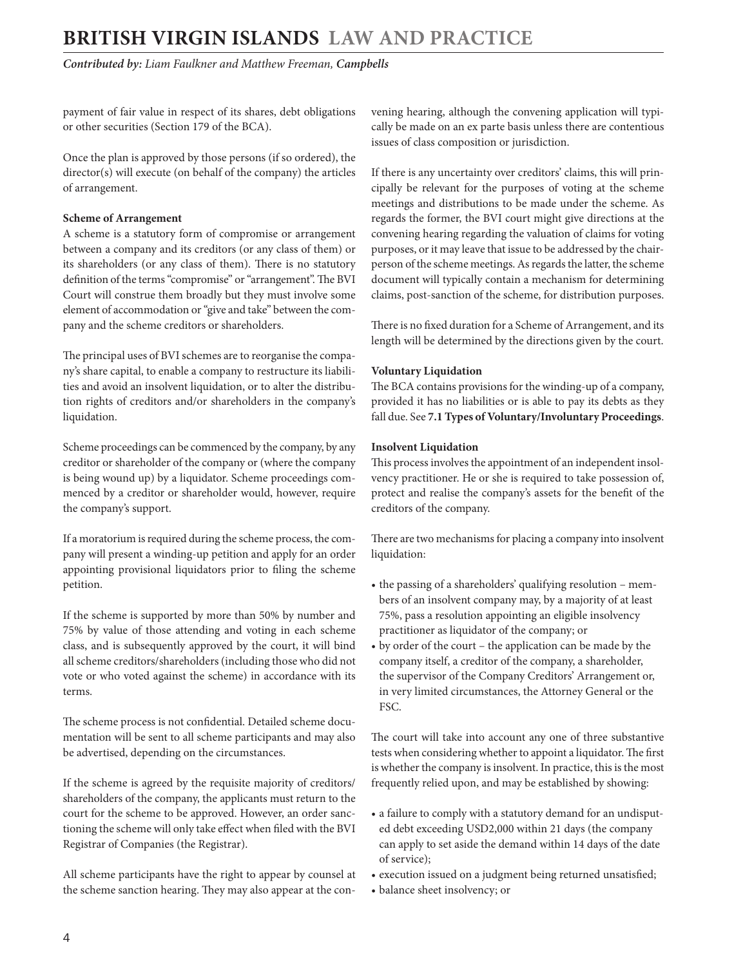*Contributed by: Liam Faulkner and Matthew Freeman, Campbells* 

payment of fair value in respect of its shares, debt obligations or other securities (Section 179 of the BCA).

Once the plan is approved by those persons (if so ordered), the director(s) will execute (on behalf of the company) the articles of arrangement.

#### **Scheme of Arrangement**

A scheme is a statutory form of compromise or arrangement between a company and its creditors (or any class of them) or its shareholders (or any class of them). There is no statutory definition of the terms "compromise" or "arrangement". The BVI Court will construe them broadly but they must involve some element of accommodation or "give and take" between the company and the scheme creditors or shareholders.

The principal uses of BVI schemes are to reorganise the company's share capital, to enable a company to restructure its liabilities and avoid an insolvent liquidation, or to alter the distribution rights of creditors and/or shareholders in the company's liquidation.

Scheme proceedings can be commenced by the company, by any creditor or shareholder of the company or (where the company is being wound up) by a liquidator. Scheme proceedings commenced by a creditor or shareholder would, however, require the company's support.

If a moratorium is required during the scheme process, the company will present a winding-up petition and apply for an order appointing provisional liquidators prior to filing the scheme petition.

If the scheme is supported by more than 50% by number and 75% by value of those attending and voting in each scheme class, and is subsequently approved by the court, it will bind all scheme creditors/shareholders (including those who did not vote or who voted against the scheme) in accordance with its terms.

The scheme process is not confidential. Detailed scheme documentation will be sent to all scheme participants and may also be advertised, depending on the circumstances.

If the scheme is agreed by the requisite majority of creditors/ shareholders of the company, the applicants must return to the court for the scheme to be approved. However, an order sanctioning the scheme will only take effect when filed with the BVI Registrar of Companies (the Registrar).

All scheme participants have the right to appear by counsel at the scheme sanction hearing. They may also appear at the convening hearing, although the convening application will typically be made on an ex parte basis unless there are contentious issues of class composition or jurisdiction.

If there is any uncertainty over creditors' claims, this will principally be relevant for the purposes of voting at the scheme meetings and distributions to be made under the scheme. As regards the former, the BVI court might give directions at the convening hearing regarding the valuation of claims for voting purposes, or it may leave that issue to be addressed by the chairperson of the scheme meetings. As regards the latter, the scheme document will typically contain a mechanism for determining claims, post-sanction of the scheme, for distribution purposes.

There is no fixed duration for a Scheme of Arrangement, and its length will be determined by the directions given by the court.

#### **Voluntary Liquidation**

The BCA contains provisions for the winding-up of a company, provided it has no liabilities or is able to pay its debts as they fall due. See **7.1 Types of Voluntary/Involuntary Proceedings**.

#### **Insolvent Liquidation**

This process involves the appointment of an independent insolvency practitioner. He or she is required to take possession of, protect and realise the company's assets for the benefit of the creditors of the company.

There are two mechanisms for placing a company into insolvent liquidation:

- the passing of a shareholders' qualifying resolution members of an insolvent company may, by a majority of at least 75%, pass a resolution appointing an eligible insolvency practitioner as liquidator of the company; or
- by order of the court the application can be made by the company itself, a creditor of the company, a shareholder, the supervisor of the Company Creditors' Arrangement or, in very limited circumstances, the Attorney General or the FSC.

The court will take into account any one of three substantive tests when considering whether to appoint a liquidator. The first is whether the company is insolvent. In practice, this is the most frequently relied upon, and may be established by showing:

- a failure to comply with a statutory demand for an undisputed debt exceeding USD2,000 within 21 days (the company can apply to set aside the demand within 14 days of the date of service);
- execution issued on a judgment being returned unsatisfied;
- balance sheet insolvency; or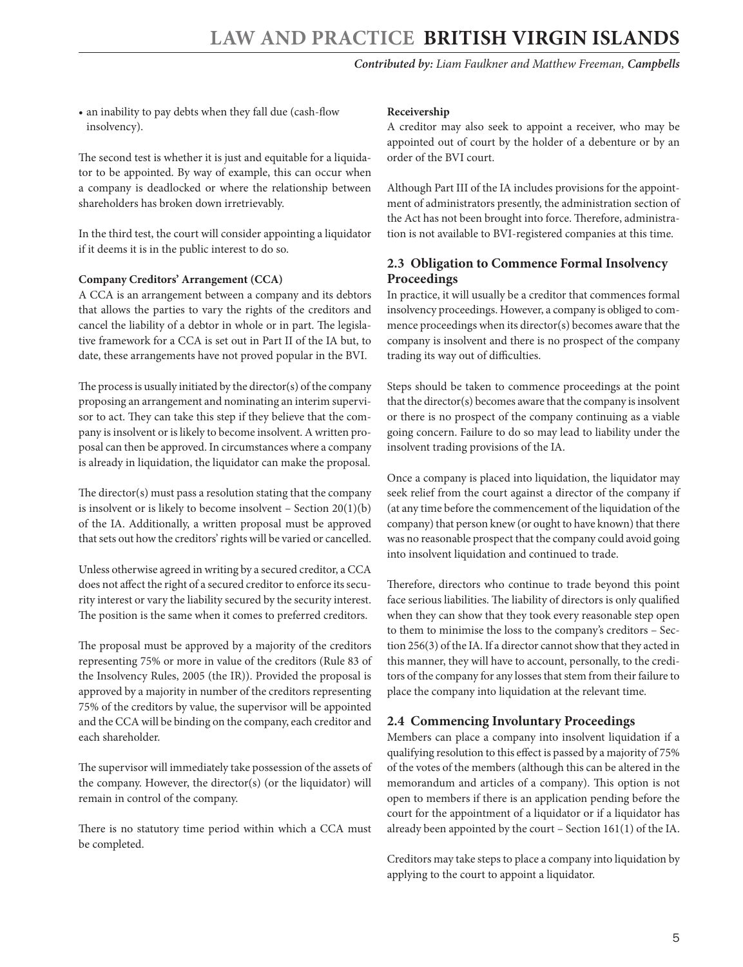<span id="page-4-0"></span>• an inability to pay debts when they fall due (cash-flow insolvency).

The second test is whether it is just and equitable for a liquidator to be appointed. By way of example, this can occur when a company is deadlocked or where the relationship between shareholders has broken down irretrievably.

In the third test, the court will consider appointing a liquidator if it deems it is in the public interest to do so.

#### **Company Creditors' Arrangement (CCA)**

A CCA is an arrangement between a company and its debtors that allows the parties to vary the rights of the creditors and cancel the liability of a debtor in whole or in part. The legislative framework for a CCA is set out in Part II of the IA but, to date, these arrangements have not proved popular in the BVI.

The process is usually initiated by the director(s) of the company proposing an arrangement and nominating an interim supervisor to act. They can take this step if they believe that the company is insolvent or is likely to become insolvent. A written proposal can then be approved. In circumstances where a company is already in liquidation, the liquidator can make the proposal.

The director(s) must pass a resolution stating that the company is insolvent or is likely to become insolvent – Section 20(1)(b) of the IA. Additionally, a written proposal must be approved that sets out how the creditors' rights will be varied or cancelled.

Unless otherwise agreed in writing by a secured creditor, a CCA does not affect the right of a secured creditor to enforce its security interest or vary the liability secured by the security interest. The position is the same when it comes to preferred creditors.

The proposal must be approved by a majority of the creditors representing 75% or more in value of the creditors (Rule 83 of the Insolvency Rules, 2005 (the IR)). Provided the proposal is approved by a majority in number of the creditors representing 75% of the creditors by value, the supervisor will be appointed and the CCA will be binding on the company, each creditor and each shareholder.

The supervisor will immediately take possession of the assets of the company. However, the director(s) (or the liquidator) will remain in control of the company.

There is no statutory time period within which a CCA must be completed.

#### **Receivership**

A creditor may also seek to appoint a receiver, who may be appointed out of court by the holder of a debenture or by an order of the BVI court.

Although Part III of the IA includes provisions for the appointment of administrators presently, the administration section of the Act has not been brought into force. Therefore, administration is not available to BVI-registered companies at this time.

#### **2.3 Obligation to Commence Formal Insolvency Proceedings**

In practice, it will usually be a creditor that commences formal insolvency proceedings. However, a company is obliged to commence proceedings when its director(s) becomes aware that the company is insolvent and there is no prospect of the company trading its way out of difficulties.

Steps should be taken to commence proceedings at the point that the director(s) becomes aware that the company is insolvent or there is no prospect of the company continuing as a viable going concern. Failure to do so may lead to liability under the insolvent trading provisions of the IA.

Once a company is placed into liquidation, the liquidator may seek relief from the court against a director of the company if (at any time before the commencement of the liquidation of the company) that person knew (or ought to have known) that there was no reasonable prospect that the company could avoid going into insolvent liquidation and continued to trade.

Therefore, directors who continue to trade beyond this point face serious liabilities. The liability of directors is only qualified when they can show that they took every reasonable step open to them to minimise the loss to the company's creditors – Section 256(3) of the IA. If a director cannot show that they acted in this manner, they will have to account, personally, to the creditors of the company for any losses that stem from their failure to place the company into liquidation at the relevant time.

#### **2.4 Commencing Involuntary Proceedings**

Members can place a company into insolvent liquidation if a qualifying resolution to this effect is passed by a majority of 75% of the votes of the members (although this can be altered in the memorandum and articles of a company). This option is not open to members if there is an application pending before the court for the appointment of a liquidator or if a liquidator has already been appointed by the court – Section 161(1) of the IA.

Creditors may take steps to place a company into liquidation by applying to the court to appoint a liquidator.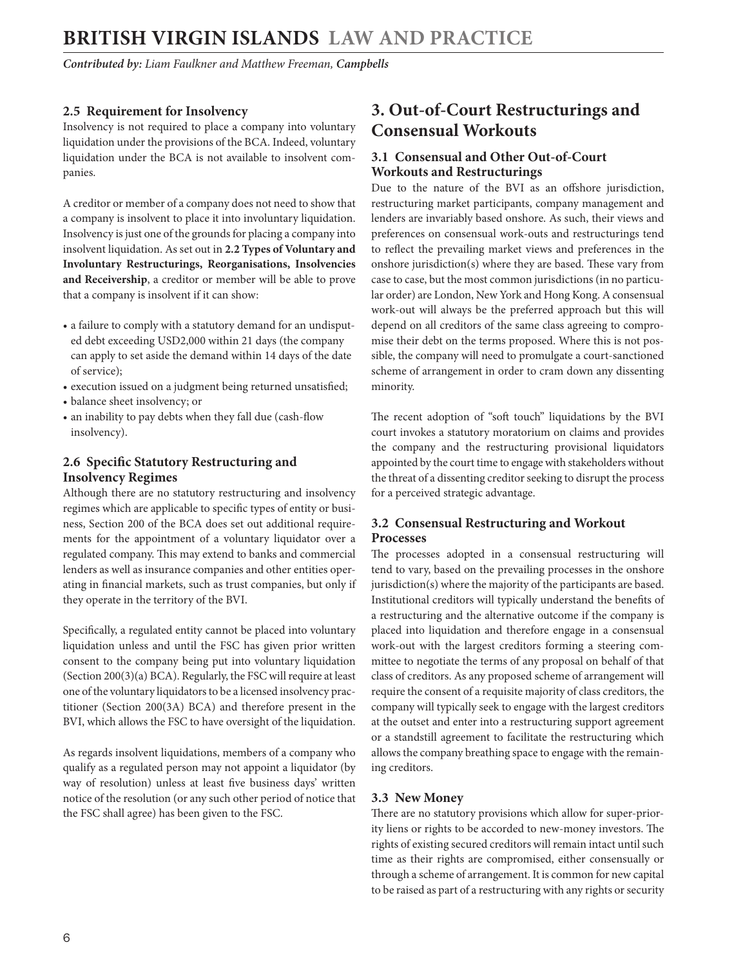<span id="page-5-0"></span>*Contributed by: Liam Faulkner and Matthew Freeman, Campbells* 

#### **2.5 Requirement for Insolvency**

Insolvency is not required to place a company into voluntary liquidation under the provisions of the BCA. Indeed, voluntary liquidation under the BCA is not available to insolvent companies.

A creditor or member of a company does not need to show that a company is insolvent to place it into involuntary liquidation. Insolvency is just one of the grounds for placing a company into insolvent liquidation. As set out in **2.2 Types of Voluntary and Involuntary Restructurings, Reorganisations, Insolvencies and Receivership**, a creditor or member will be able to prove that a company is insolvent if it can show:

- a failure to comply with a statutory demand for an undisputed debt exceeding USD2,000 within 21 days (the company can apply to set aside the demand within 14 days of the date of service);
- execution issued on a judgment being returned unsatisfied;
- balance sheet insolvency; or
- an inability to pay debts when they fall due (cash-flow insolvency).

#### **2.6 Specific Statutory Restructuring and Insolvency Regimes**

Although there are no statutory restructuring and insolvency regimes which are applicable to specific types of entity or business, Section 200 of the BCA does set out additional requirements for the appointment of a voluntary liquidator over a regulated company. This may extend to banks and commercial lenders as well as insurance companies and other entities operating in financial markets, such as trust companies, but only if they operate in the territory of the BVI.

Specifically, a regulated entity cannot be placed into voluntary liquidation unless and until the FSC has given prior written consent to the company being put into voluntary liquidation (Section 200(3)(a) BCA). Regularly, the FSC will require at least one of the voluntary liquidators to be a licensed insolvency practitioner (Section 200(3A) BCA) and therefore present in the BVI, which allows the FSC to have oversight of the liquidation.

As regards insolvent liquidations, members of a company who qualify as a regulated person may not appoint a liquidator (by way of resolution) unless at least five business days' written notice of the resolution (or any such other period of notice that the FSC shall agree) has been given to the FSC.

## **3. Out-of-Court Restructurings and Consensual Workouts**

#### **3.1 Consensual and Other Out-of-Court Workouts and Restructurings**

Due to the nature of the BVI as an offshore jurisdiction, restructuring market participants, company management and lenders are invariably based onshore. As such, their views and preferences on consensual work-outs and restructurings tend to reflect the prevailing market views and preferences in the onshore jurisdiction(s) where they are based. These vary from case to case, but the most common jurisdictions (in no particular order) are London, New York and Hong Kong. A consensual work-out will always be the preferred approach but this will depend on all creditors of the same class agreeing to compromise their debt on the terms proposed. Where this is not possible, the company will need to promulgate a court-sanctioned scheme of arrangement in order to cram down any dissenting minority.

The recent adoption of "soft touch" liquidations by the BVI court invokes a statutory moratorium on claims and provides the company and the restructuring provisional liquidators appointed by the court time to engage with stakeholders without the threat of a dissenting creditor seeking to disrupt the process for a perceived strategic advantage.

#### **3.2 Consensual Restructuring and Workout Processes**

The processes adopted in a consensual restructuring will tend to vary, based on the prevailing processes in the onshore jurisdiction(s) where the majority of the participants are based. Institutional creditors will typically understand the benefits of a restructuring and the alternative outcome if the company is placed into liquidation and therefore engage in a consensual work-out with the largest creditors forming a steering committee to negotiate the terms of any proposal on behalf of that class of creditors. As any proposed scheme of arrangement will require the consent of a requisite majority of class creditors, the company will typically seek to engage with the largest creditors at the outset and enter into a restructuring support agreement or a standstill agreement to facilitate the restructuring which allows the company breathing space to engage with the remaining creditors.

#### **3.3 New Money**

There are no statutory provisions which allow for super-priority liens or rights to be accorded to new-money investors. The rights of existing secured creditors will remain intact until such time as their rights are compromised, either consensually or through a scheme of arrangement. It is common for new capital to be raised as part of a restructuring with any rights or security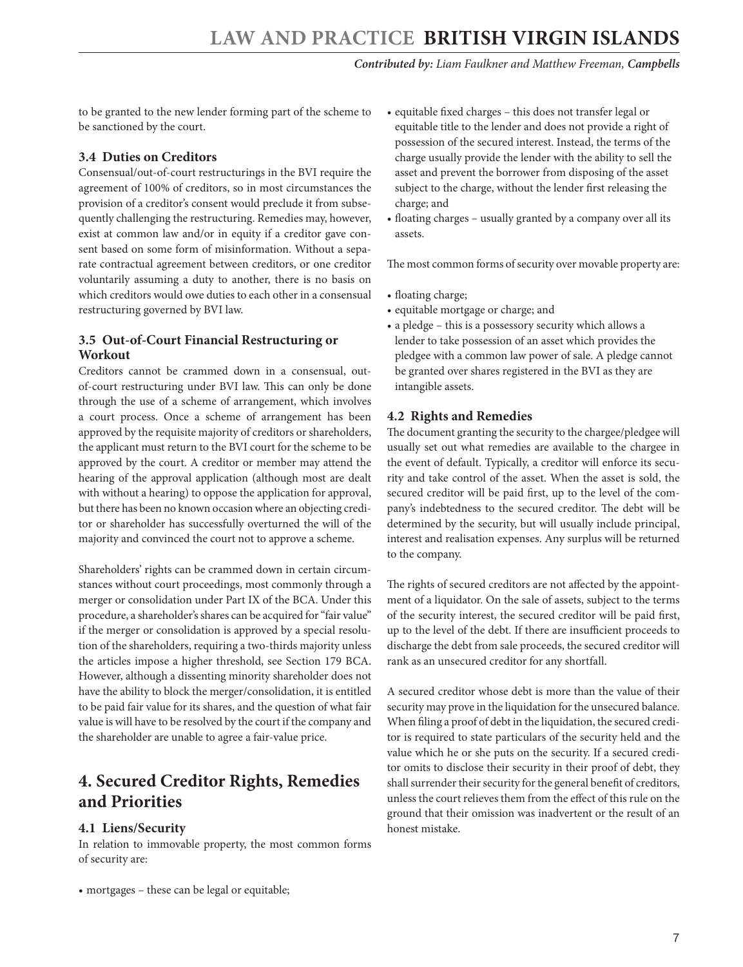<span id="page-6-0"></span>to be granted to the new lender forming part of the scheme to be sanctioned by the court.

#### **3.4 Duties on Creditors**

Consensual/out-of-court restructurings in the BVI require the agreement of 100% of creditors, so in most circumstances the provision of a creditor's consent would preclude it from subsequently challenging the restructuring. Remedies may, however, exist at common law and/or in equity if a creditor gave consent based on some form of misinformation. Without a separate contractual agreement between creditors, or one creditor voluntarily assuming a duty to another, there is no basis on which creditors would owe duties to each other in a consensual restructuring governed by BVI law.

#### **3.5 Out-of-Court Financial Restructuring or Workout**

Creditors cannot be crammed down in a consensual, outof-court restructuring under BVI law. This can only be done through the use of a scheme of arrangement, which involves a court process. Once a scheme of arrangement has been approved by the requisite majority of creditors or shareholders, the applicant must return to the BVI court for the scheme to be approved by the court. A creditor or member may attend the hearing of the approval application (although most are dealt with without a hearing) to oppose the application for approval, but there has been no known occasion where an objecting creditor or shareholder has successfully overturned the will of the majority and convinced the court not to approve a scheme.

Shareholders' rights can be crammed down in certain circumstances without court proceedings, most commonly through a merger or consolidation under Part IX of the BCA. Under this procedure, a shareholder's shares can be acquired for "fair value" if the merger or consolidation is approved by a special resolution of the shareholders, requiring a two-thirds majority unless the articles impose a higher threshold, see Section 179 BCA. However, although a dissenting minority shareholder does not have the ability to block the merger/consolidation, it is entitled to be paid fair value for its shares, and the question of what fair value is will have to be resolved by the court if the company and the shareholder are unable to agree a fair-value price.

## **4. Secured Creditor Rights, Remedies and Priorities**

#### **4.1 Liens/Security**

In relation to immovable property, the most common forms of security are:

• mortgages – these can be legal or equitable;

- equitable fixed charges this does not transfer legal or equitable title to the lender and does not provide a right of possession of the secured interest. Instead, the terms of the charge usually provide the lender with the ability to sell the asset and prevent the borrower from disposing of the asset subject to the charge, without the lender first releasing the charge; and
- floating charges usually granted by a company over all its assets.

The most common forms of security over movable property are:

- floating charge;
- equitable mortgage or charge; and
- a pledge this is a possessory security which allows a lender to take possession of an asset which provides the pledgee with a common law power of sale. A pledge cannot be granted over shares registered in the BVI as they are intangible assets.

#### **4.2 Rights and Remedies**

The document granting the security to the chargee/pledgee will usually set out what remedies are available to the chargee in the event of default. Typically, a creditor will enforce its security and take control of the asset. When the asset is sold, the secured creditor will be paid first, up to the level of the company's indebtedness to the secured creditor. The debt will be determined by the security, but will usually include principal, interest and realisation expenses. Any surplus will be returned to the company.

The rights of secured creditors are not affected by the appointment of a liquidator. On the sale of assets, subject to the terms of the security interest, the secured creditor will be paid first, up to the level of the debt. If there are insufficient proceeds to discharge the debt from sale proceeds, the secured creditor will rank as an unsecured creditor for any shortfall.

A secured creditor whose debt is more than the value of their security may prove in the liquidation for the unsecured balance. When filing a proof of debt in the liquidation, the secured creditor is required to state particulars of the security held and the value which he or she puts on the security. If a secured creditor omits to disclose their security in their proof of debt, they shall surrender their security for the general benefit of creditors, unless the court relieves them from the effect of this rule on the ground that their omission was inadvertent or the result of an honest mistake.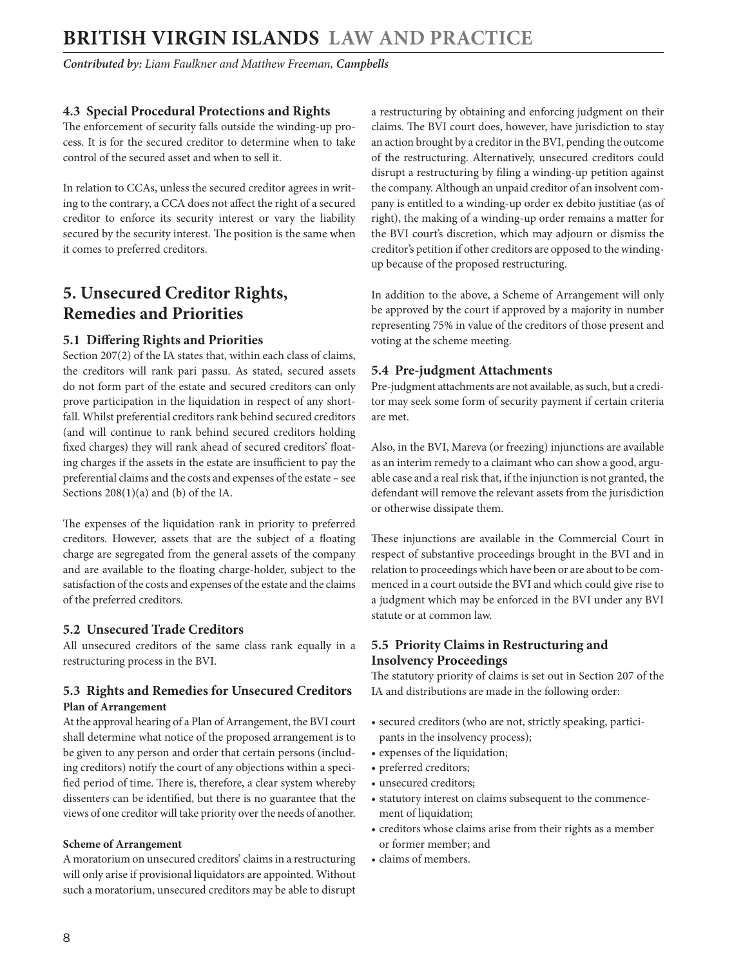<span id="page-7-0"></span>*Contributed by: Liam Faulkner and Matthew Freeman, Campbells* 

#### **4.3 Special Procedural Protections and Rights**

The enforcement of security falls outside the winding-up process. It is for the secured creditor to determine when to take control of the secured asset and when to sell it.

In relation to CCAs, unless the secured creditor agrees in writing to the contrary, a CCA does not affect the right of a secured creditor to enforce its security interest or vary the liability secured by the security interest. The position is the same when it comes to preferred creditors.

# **5. Unsecured Creditor Rights, Remedies and Priorities**

#### **5.1 Differing Rights and Priorities**

Section 207(2) of the IA states that, within each class of claims, the creditors will rank pari passu. As stated, secured assets do not form part of the estate and secured creditors can only prove participation in the liquidation in respect of any shortfall. Whilst preferential creditors rank behind secured creditors (and will continue to rank behind secured creditors holding fixed charges) they will rank ahead of secured creditors' floating charges if the assets in the estate are insufficient to pay the preferential claims and the costs and expenses of the estate – see Sections  $208(1)(a)$  and (b) of the IA.

The expenses of the liquidation rank in priority to preferred creditors. However, assets that are the subject of a floating charge are segregated from the general assets of the company and are available to the floating charge-holder, subject to the satisfaction of the costs and expenses of the estate and the claims of the preferred creditors.

#### **5.2 Unsecured Trade Creditors**

All unsecured creditors of the same class rank equally in a restructuring process in the BVI.

#### **5.3 Rights and Remedies for Unsecured Creditors Plan of Arrangement**

At the approval hearing of a Plan of Arrangement, the BVI court shall determine what notice of the proposed arrangement is to be given to any person and order that certain persons (including creditors) notify the court of any objections within a specified period of time. There is, therefore, a clear system whereby dissenters can be identified, but there is no guarantee that the views of one creditor will take priority over the needs of another.

#### **Scheme of Arrangement**

A moratorium on unsecured creditors' claims in a restructuring will only arise if provisional liquidators are appointed. Without such a moratorium, unsecured creditors may be able to disrupt a restructuring by obtaining and enforcing judgment on their claims. The BVI court does, however, have jurisdiction to stay an action brought by a creditor in the BVI, pending the outcome of the restructuring. Alternatively, unsecured creditors could disrupt a restructuring by filing a winding-up petition against the company. Although an unpaid creditor of an insolvent company is entitled to a winding-up order ex debito justitiae (as of right), the making of a winding-up order remains a matter for the BVI court's discretion, which may adjourn or dismiss the creditor's petition if other creditors are opposed to the windingup because of the proposed restructuring.

In addition to the above, a Scheme of Arrangement will only be approved by the court if approved by a majority in number representing 75% in value of the creditors of those present and voting at the scheme meeting.

#### **5.4 Pre-judgment Attachments**

Pre-judgment attachments are not available, as such, but a creditor may seek some form of security payment if certain criteria are met.

Also, in the BVI, Mareva (or freezing) injunctions are available as an interim remedy to a claimant who can show a good, arguable case and a real risk that, if the injunction is not granted, the defendant will remove the relevant assets from the jurisdiction or otherwise dissipate them.

These injunctions are available in the Commercial Court in respect of substantive proceedings brought in the BVI and in relation to proceedings which have been or are about to be commenced in a court outside the BVI and which could give rise to a judgment which may be enforced in the BVI under any BVI statute or at common law.

#### **5.5 Priority Claims in Restructuring and Insolvency Proceedings**

The statutory priority of claims is set out in Section 207 of the IA and distributions are made in the following order:

- secured creditors (who are not, strictly speaking, participants in the insolvency process);
- expenses of the liquidation;
- preferred creditors;
- unsecured creditors;
- statutory interest on claims subsequent to the commencement of liquidation;
- creditors whose claims arise from their rights as a member or former member; and
- claims of members.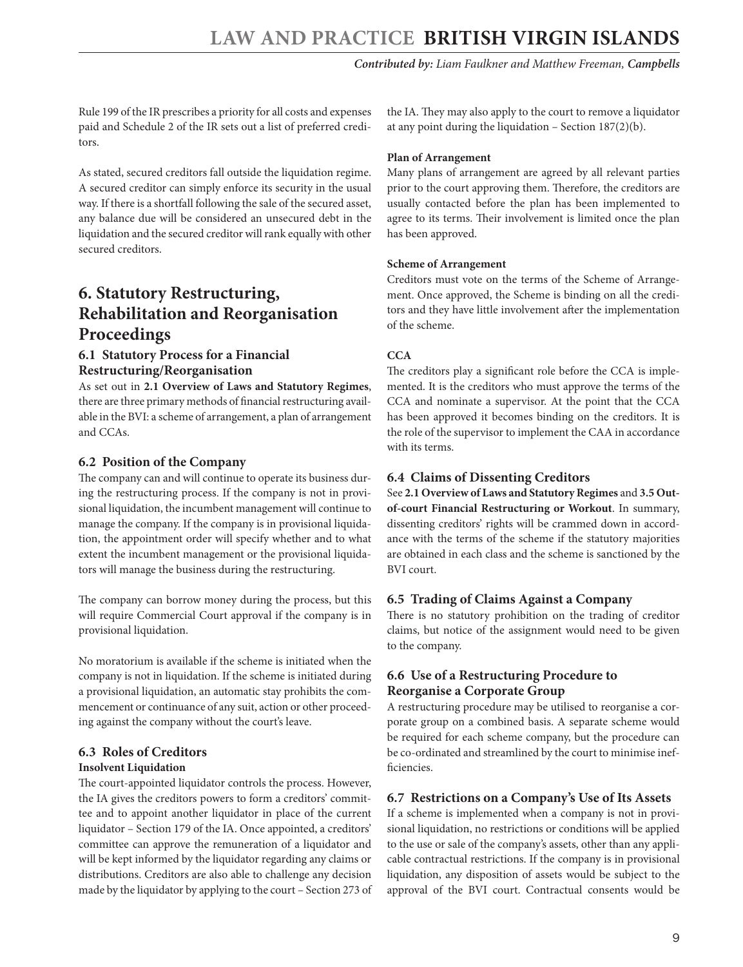<span id="page-8-0"></span>Rule 199 of the IR prescribes a priority for all costs and expenses paid and Schedule 2 of the IR sets out a list of preferred creditors.

As stated, secured creditors fall outside the liquidation regime. A secured creditor can simply enforce its security in the usual way. If there is a shortfall following the sale of the secured asset, any balance due will be considered an unsecured debt in the liquidation and the secured creditor will rank equally with other secured creditors.

## **6. Statutory Restructuring, Rehabilitation and Reorganisation Proceedings**

#### **6.1 Statutory Process for a Financial Restructuring/Reorganisation**

As set out in **2.1 Overview of Laws and Statutory Regimes**, there are three primary methods of financial restructuring available in the BVI: a scheme of arrangement, a plan of arrangement and CCAs.

#### **6.2 Position of the Company**

The company can and will continue to operate its business during the restructuring process. If the company is not in provisional liquidation, the incumbent management will continue to manage the company. If the company is in provisional liquidation, the appointment order will specify whether and to what extent the incumbent management or the provisional liquidators will manage the business during the restructuring.

The company can borrow money during the process, but this will require Commercial Court approval if the company is in provisional liquidation.

No moratorium is available if the scheme is initiated when the company is not in liquidation. If the scheme is initiated during a provisional liquidation, an automatic stay prohibits the commencement or continuance of any suit, action or other proceeding against the company without the court's leave.

#### **6.3 Roles of Creditors**

#### **Insolvent Liquidation**

The court-appointed liquidator controls the process. However, the IA gives the creditors powers to form a creditors' committee and to appoint another liquidator in place of the current liquidator – Section 179 of the IA. Once appointed, a creditors' committee can approve the remuneration of a liquidator and will be kept informed by the liquidator regarding any claims or distributions. Creditors are also able to challenge any decision made by the liquidator by applying to the court – Section 273 of the IA. They may also apply to the court to remove a liquidator at any point during the liquidation – Section 187(2)(b).

#### **Plan of Arrangement**

Many plans of arrangement are agreed by all relevant parties prior to the court approving them. Therefore, the creditors are usually contacted before the plan has been implemented to agree to its terms. Their involvement is limited once the plan has been approved.

#### **Scheme of Arrangement**

Creditors must vote on the terms of the Scheme of Arrangement. Once approved, the Scheme is binding on all the creditors and they have little involvement after the implementation of the scheme.

#### **CCA**

The creditors play a significant role before the CCA is implemented. It is the creditors who must approve the terms of the CCA and nominate a supervisor. At the point that the CCA has been approved it becomes binding on the creditors. It is the role of the supervisor to implement the CAA in accordance with its terms.

#### **6.4 Claims of Dissenting Creditors**

See **2.1 Overview of Laws and Statutory Regimes** and **3.5 Outof-court Financial Restructuring or Workout**. In summary, dissenting creditors' rights will be crammed down in accordance with the terms of the scheme if the statutory majorities are obtained in each class and the scheme is sanctioned by the BVI court.

#### **6.5 Trading of Claims Against a Company**

There is no statutory prohibition on the trading of creditor claims, but notice of the assignment would need to be given to the company.

#### **6.6 Use of a Restructuring Procedure to Reorganise a Corporate Group**

A restructuring procedure may be utilised to reorganise a corporate group on a combined basis. A separate scheme would be required for each scheme company, but the procedure can be co-ordinated and streamlined by the court to minimise inefficiencies.

#### **6.7 Restrictions on a Company's Use of Its Assets**

If a scheme is implemented when a company is not in provisional liquidation, no restrictions or conditions will be applied to the use or sale of the company's assets, other than any applicable contractual restrictions. If the company is in provisional liquidation, any disposition of assets would be subject to the approval of the BVI court. Contractual consents would be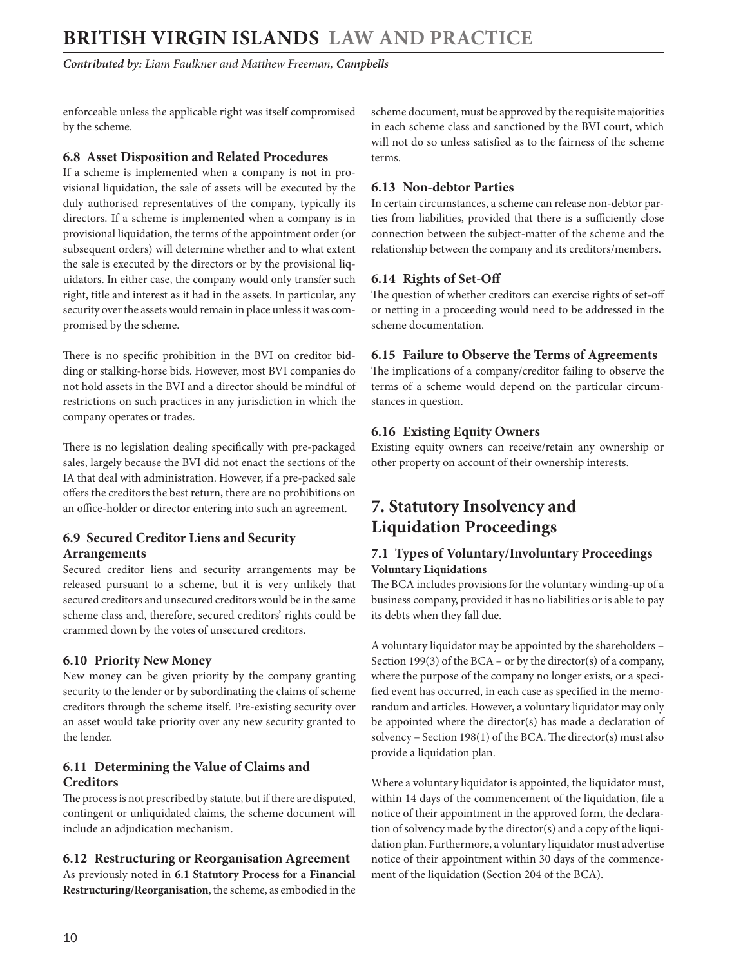<span id="page-9-0"></span>*Contributed by: Liam Faulkner and Matthew Freeman, Campbells* 

enforceable unless the applicable right was itself compromised by the scheme.

#### **6.8 Asset Disposition and Related Procedures**

If a scheme is implemented when a company is not in provisional liquidation, the sale of assets will be executed by the duly authorised representatives of the company, typically its directors. If a scheme is implemented when a company is in provisional liquidation, the terms of the appointment order (or subsequent orders) will determine whether and to what extent the sale is executed by the directors or by the provisional liquidators. In either case, the company would only transfer such right, title and interest as it had in the assets. In particular, any security over the assets would remain in place unless it was compromised by the scheme.

There is no specific prohibition in the BVI on creditor bidding or stalking-horse bids. However, most BVI companies do not hold assets in the BVI and a director should be mindful of restrictions on such practices in any jurisdiction in which the company operates or trades.

There is no legislation dealing specifically with pre-packaged sales, largely because the BVI did not enact the sections of the IA that deal with administration. However, if a pre-packed sale offers the creditors the best return, there are no prohibitions on an office-holder or director entering into such an agreement.

#### **6.9 Secured Creditor Liens and Security Arrangements**

Secured creditor liens and security arrangements may be released pursuant to a scheme, but it is very unlikely that secured creditors and unsecured creditors would be in the same scheme class and, therefore, secured creditors' rights could be crammed down by the votes of unsecured creditors.

#### **6.10 Priority New Money**

New money can be given priority by the company granting security to the lender or by subordinating the claims of scheme creditors through the scheme itself. Pre-existing security over an asset would take priority over any new security granted to the lender.

#### **6.11 Determining the Value of Claims and Creditors**

The process is not prescribed by statute, but if there are disputed, contingent or unliquidated claims, the scheme document will include an adjudication mechanism.

#### **6.12 Restructuring or Reorganisation Agreement**

As previously noted in **6.1 Statutory Process for a Financial Restructuring/Reorganisation**, the scheme, as embodied in the scheme document, must be approved by the requisite majorities in each scheme class and sanctioned by the BVI court, which will not do so unless satisfied as to the fairness of the scheme terms.

#### **6.13 Non-debtor Parties**

In certain circumstances, a scheme can release non-debtor parties from liabilities, provided that there is a sufficiently close connection between the subject-matter of the scheme and the relationship between the company and its creditors/members.

#### **6.14 Rights of Set-Off**

The question of whether creditors can exercise rights of set-off or netting in a proceeding would need to be addressed in the scheme documentation.

### **6.15 Failure to Observe the Terms of Agreements**

The implications of a company/creditor failing to observe the terms of a scheme would depend on the particular circumstances in question.

#### **6.16 Existing Equity Owners**

Existing equity owners can receive/retain any ownership or other property on account of their ownership interests.

## **7. Statutory Insolvency and Liquidation Proceedings**

#### **7.1 Types of Voluntary/Involuntary Proceedings Voluntary Liquidations**

The BCA includes provisions for the voluntary winding-up of a business company, provided it has no liabilities or is able to pay its debts when they fall due.

A voluntary liquidator may be appointed by the shareholders – Section 199(3) of the BCA – or by the director(s) of a company, where the purpose of the company no longer exists, or a specified event has occurred, in each case as specified in the memorandum and articles. However, a voluntary liquidator may only be appointed where the director(s) has made a declaration of solvency – Section 198(1) of the BCA. The director(s) must also provide a liquidation plan.

Where a voluntary liquidator is appointed, the liquidator must, within 14 days of the commencement of the liquidation, file a notice of their appointment in the approved form, the declaration of solvency made by the director(s) and a copy of the liquidation plan. Furthermore, a voluntary liquidator must advertise notice of their appointment within 30 days of the commencement of the liquidation (Section 204 of the BCA).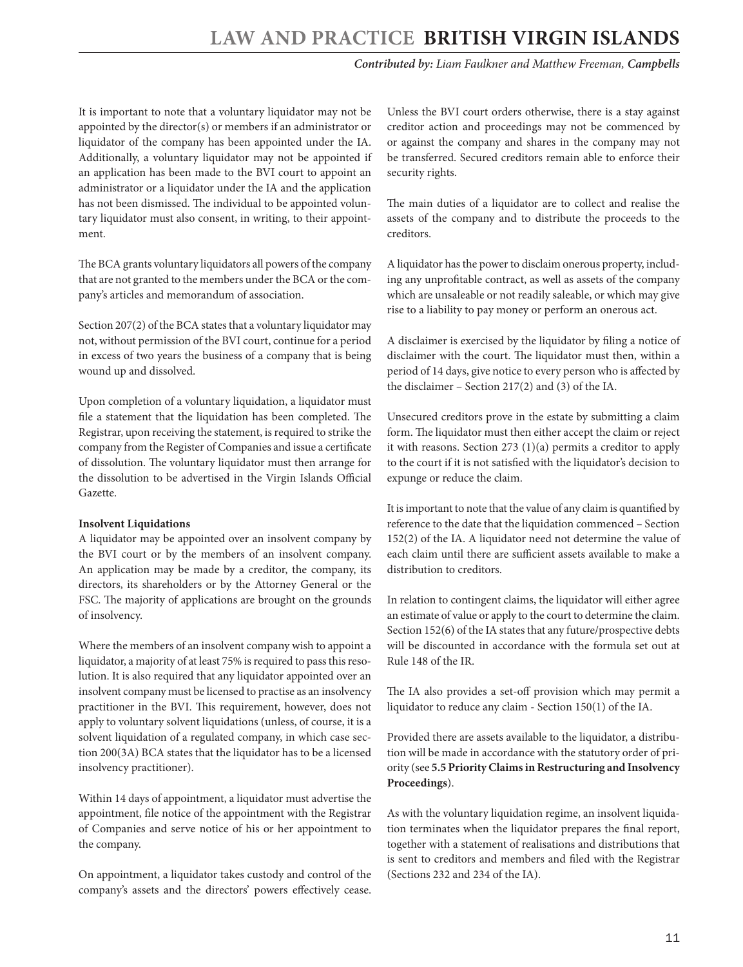# **LAW AND PRACTICE BRITISH VIRGIN ISLAND**

#### *Contributed by: Liam Faulkner and Matthew Freeman, Campbells*

It is important to note that a voluntary liquidator may not be appointed by the director(s) or members if an administrator or liquidator of the company has been appointed under the IA. Additionally, a voluntary liquidator may not be appointed if an application has been made to the BVI court to appoint an administrator or a liquidator under the IA and the application has not been dismissed. The individual to be appointed voluntary liquidator must also consent, in writing, to their appointment.

The BCA grants voluntary liquidators all powers of the company that are not granted to the members under the BCA or the company's articles and memorandum of association.

Section 207(2) of the BCA states that a voluntary liquidator may not, without permission of the BVI court, continue for a period in excess of two years the business of a company that is being wound up and dissolved.

Upon completion of a voluntary liquidation, a liquidator must file a statement that the liquidation has been completed. The Registrar, upon receiving the statement, is required to strike the company from the Register of Companies and issue a certificate of dissolution. The voluntary liquidator must then arrange for the dissolution to be advertised in the Virgin Islands Official Gazette.

#### **Insolvent Liquidations**

A liquidator may be appointed over an insolvent company by the BVI court or by the members of an insolvent company. An application may be made by a creditor, the company, its directors, its shareholders or by the Attorney General or the FSC. The majority of applications are brought on the grounds of insolvency.

Where the members of an insolvent company wish to appoint a liquidator, a majority of at least 75% is required to pass this resolution. It is also required that any liquidator appointed over an insolvent company must be licensed to practise as an insolvency practitioner in the BVI. This requirement, however, does not apply to voluntary solvent liquidations (unless, of course, it is a solvent liquidation of a regulated company, in which case section 200(3A) BCA states that the liquidator has to be a licensed insolvency practitioner).

Within 14 days of appointment, a liquidator must advertise the appointment, file notice of the appointment with the Registrar of Companies and serve notice of his or her appointment to the company.

On appointment, a liquidator takes custody and control of the company's assets and the directors' powers effectively cease.

Unless the BVI court orders otherwise, there is a stay against creditor action and proceedings may not be commenced by or against the company and shares in the company may not be transferred. Secured creditors remain able to enforce their security rights.

The main duties of a liquidator are to collect and realise the assets of the company and to distribute the proceeds to the creditors.

A liquidator has the power to disclaim onerous property, including any unprofitable contract, as well as assets of the company which are unsaleable or not readily saleable, or which may give rise to a liability to pay money or perform an onerous act.

A disclaimer is exercised by the liquidator by filing a notice of disclaimer with the court. The liquidator must then, within a period of 14 days, give notice to every person who is affected by the disclaimer – Section 217(2) and (3) of the IA.

Unsecured creditors prove in the estate by submitting a claim form. The liquidator must then either accept the claim or reject it with reasons. Section 273 (1)(a) permits a creditor to apply to the court if it is not satisfied with the liquidator's decision to expunge or reduce the claim.

It is important to note that the value of any claim is quantified by reference to the date that the liquidation commenced – Section 152(2) of the IA. A liquidator need not determine the value of each claim until there are sufficient assets available to make a distribution to creditors.

In relation to contingent claims, the liquidator will either agree an estimate of value or apply to the court to determine the claim. Section 152(6) of the IA states that any future/prospective debts will be discounted in accordance with the formula set out at Rule 148 of the IR.

The IA also provides a set-off provision which may permit a liquidator to reduce any claim - Section 150(1) of the IA.

Provided there are assets available to the liquidator, a distribution will be made in accordance with the statutory order of priority (see **5.5 Priority Claims in Restructuring and Insolvency Proceedings**).

As with the voluntary liquidation regime, an insolvent liquidation terminates when the liquidator prepares the final report, together with a statement of realisations and distributions that is sent to creditors and members and filed with the Registrar (Sections 232 and 234 of the IA).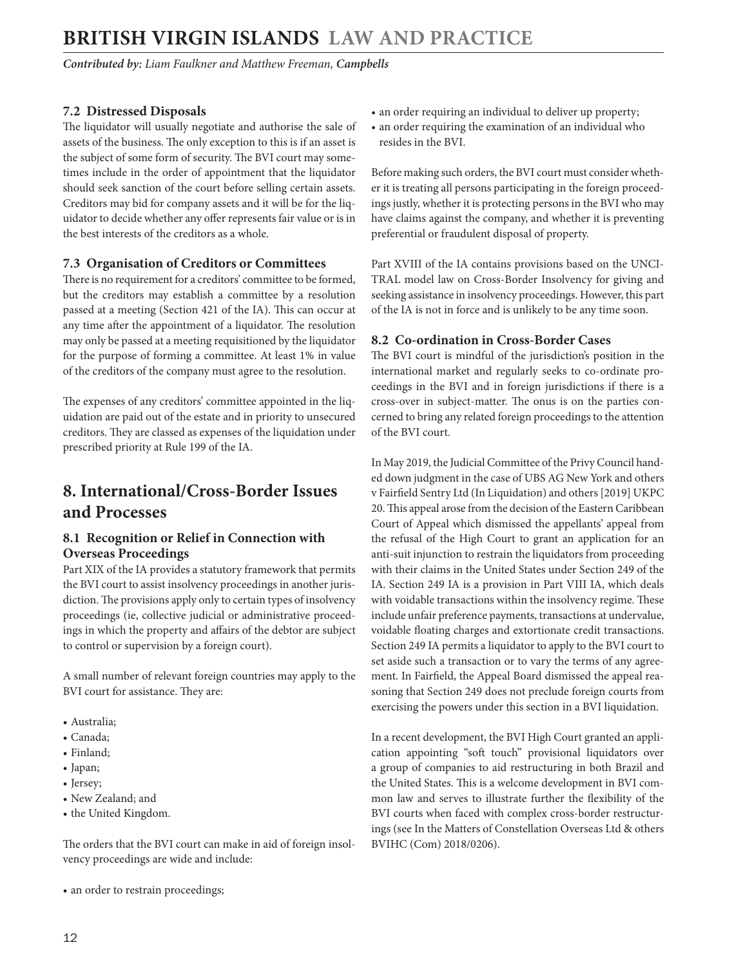<span id="page-11-0"></span>*Contributed by: Liam Faulkner and Matthew Freeman, Campbells* 

#### **7.2 Distressed Disposals**

The liquidator will usually negotiate and authorise the sale of assets of the business. The only exception to this is if an asset is the subject of some form of security. The BVI court may sometimes include in the order of appointment that the liquidator should seek sanction of the court before selling certain assets. Creditors may bid for company assets and it will be for the liquidator to decide whether any offer represents fair value or is in the best interests of the creditors as a whole.

#### **7.3 Organisation of Creditors or Committees**

There is no requirement for a creditors' committee to be formed, but the creditors may establish a committee by a resolution passed at a meeting (Section 421 of the IA). This can occur at any time after the appointment of a liquidator. The resolution may only be passed at a meeting requisitioned by the liquidator for the purpose of forming a committee. At least 1% in value of the creditors of the company must agree to the resolution.

The expenses of any creditors' committee appointed in the liquidation are paid out of the estate and in priority to unsecured creditors. They are classed as expenses of the liquidation under prescribed priority at Rule 199 of the IA.

## **8. International/Cross-Border Issues and Processes**

#### **8.1 Recognition or Relief in Connection with Overseas Proceedings**

Part XIX of the IA provides a statutory framework that permits the BVI court to assist insolvency proceedings in another jurisdiction. The provisions apply only to certain types of insolvency proceedings (ie, collective judicial or administrative proceedings in which the property and affairs of the debtor are subject to control or supervision by a foreign court).

A small number of relevant foreign countries may apply to the BVI court for assistance. They are:

- Australia;
- Canada;
- Finland;
- Japan;
- Jersey;
- New Zealand; and
- the United Kingdom.

The orders that the BVI court can make in aid of foreign insolvency proceedings are wide and include:

• an order to restrain proceedings;

- an order requiring an individual to deliver up property;
- an order requiring the examination of an individual who resides in the BVI.

Before making such orders, the BVI court must consider whether it is treating all persons participating in the foreign proceedings justly, whether it is protecting persons in the BVI who may have claims against the company, and whether it is preventing preferential or fraudulent disposal of property.

Part XVIII of the IA contains provisions based on the UNCI-TRAL model law on Cross-Border Insolvency for giving and seeking assistance in insolvency proceedings. However, this part of the IA is not in force and is unlikely to be any time soon.

#### **8.2 Co-ordination in Cross-Border Cases**

The BVI court is mindful of the jurisdiction's position in the international market and regularly seeks to co-ordinate proceedings in the BVI and in foreign jurisdictions if there is a cross-over in subject-matter. The onus is on the parties concerned to bring any related foreign proceedings to the attention of the BVI court.

In May 2019, the Judicial Committee of the Privy Council handed down judgment in the case of UBS AG New York and others v Fairfield Sentry Ltd (In Liquidation) and others [2019] UKPC 20. This appeal arose from the decision of the Eastern Caribbean Court of Appeal which dismissed the appellants' appeal from the refusal of the High Court to grant an application for an anti-suit injunction to restrain the liquidators from proceeding with their claims in the United States under Section 249 of the IA. Section 249 IA is a provision in Part VIII IA, which deals with voidable transactions within the insolvency regime. These include unfair preference payments, transactions at undervalue, voidable floating charges and extortionate credit transactions. Section 249 IA permits a liquidator to apply to the BVI court to set aside such a transaction or to vary the terms of any agreement. In Fairfield, the Appeal Board dismissed the appeal reasoning that Section 249 does not preclude foreign courts from exercising the powers under this section in a BVI liquidation.

In a recent development, the BVI High Court granted an application appointing "soft touch" provisional liquidators over a group of companies to aid restructuring in both Brazil and the United States. This is a welcome development in BVI common law and serves to illustrate further the flexibility of the BVI courts when faced with complex cross-border restructurings (see In the Matters of Constellation Overseas Ltd & others BVIHC (Com) 2018/0206).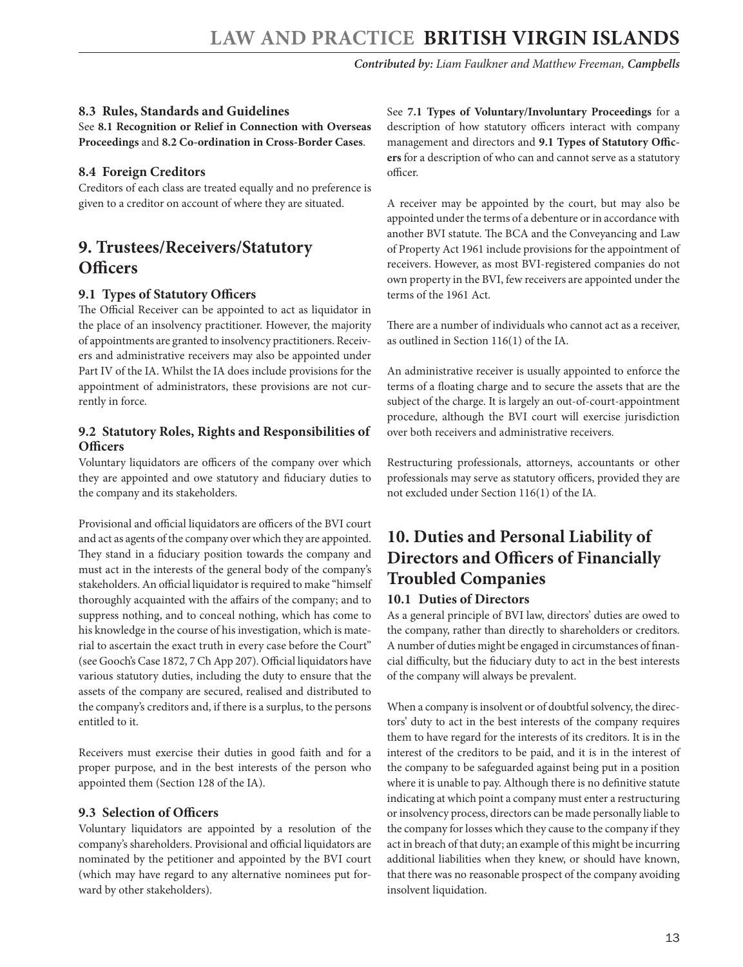#### <span id="page-12-0"></span>**8.3 Rules, Standards and Guidelines**

See **8.1 Recognition or Relief in Connection with Overseas Proceedings** and **8.2 Co-ordination in Cross-Border Cases**.

#### **8.4 Foreign Creditors**

Creditors of each class are treated equally and no preference is given to a creditor on account of where they are situated.

## **9. Trustees/Receivers/Statutory Officers**

#### **9.1 Types of Statutory Officers**

The Official Receiver can be appointed to act as liquidator in the place of an insolvency practitioner. However, the majority of appointments are granted to insolvency practitioners. Receivers and administrative receivers may also be appointed under Part IV of the IA. Whilst the IA does include provisions for the appointment of administrators, these provisions are not currently in force.

#### **9.2 Statutory Roles, Rights and Responsibilities of Officers**

Voluntary liquidators are officers of the company over which they are appointed and owe statutory and fiduciary duties to the company and its stakeholders.

Provisional and official liquidators are officers of the BVI court and act as agents of the company over which they are appointed. They stand in a fiduciary position towards the company and must act in the interests of the general body of the company's stakeholders. An official liquidator is required to make "himself thoroughly acquainted with the affairs of the company; and to suppress nothing, and to conceal nothing, which has come to his knowledge in the course of his investigation, which is material to ascertain the exact truth in every case before the Court" (see Gooch's Case 1872, 7 Ch App 207). Official liquidators have various statutory duties, including the duty to ensure that the assets of the company are secured, realised and distributed to the company's creditors and, if there is a surplus, to the persons entitled to it.

Receivers must exercise their duties in good faith and for a proper purpose, and in the best interests of the person who appointed them (Section 128 of the IA).

#### **9.3 Selection of Officers**

Voluntary liquidators are appointed by a resolution of the company's shareholders. Provisional and official liquidators are nominated by the petitioner and appointed by the BVI court (which may have regard to any alternative nominees put forward by other stakeholders).

See **7.1 Types of Voluntary/Involuntary Proceedings** for a description of how statutory officers interact with company management and directors and **9.1 Types of Statutory Officers** for a description of who can and cannot serve as a statutory officer.

A receiver may be appointed by the court, but may also be appointed under the terms of a debenture or in accordance with another BVI statute. The BCA and the Conveyancing and Law of Property Act 1961 include provisions for the appointment of receivers. However, as most BVI-registered companies do not own property in the BVI, few receivers are appointed under the terms of the 1961 Act.

There are a number of individuals who cannot act as a receiver, as outlined in Section 116(1) of the IA.

An administrative receiver is usually appointed to enforce the terms of a floating charge and to secure the assets that are the subject of the charge. It is largely an out-of-court-appointment procedure, although the BVI court will exercise jurisdiction over both receivers and administrative receivers.

Restructuring professionals, attorneys, accountants or other professionals may serve as statutory officers, provided they are not excluded under Section 116(1) of the IA.

# **10. Duties and Personal Liability of Directors and Officers of Financially Troubled Companies**

#### **10.1 Duties of Directors**

As a general principle of BVI law, directors' duties are owed to the company, rather than directly to shareholders or creditors. A number of duties might be engaged in circumstances of financial difficulty, but the fiduciary duty to act in the best interests of the company will always be prevalent.

When a company is insolvent or of doubtful solvency, the directors' duty to act in the best interests of the company requires them to have regard for the interests of its creditors. It is in the interest of the creditors to be paid, and it is in the interest of the company to be safeguarded against being put in a position where it is unable to pay. Although there is no definitive statute indicating at which point a company must enter a restructuring or insolvency process, directors can be made personally liable to the company for losses which they cause to the company if they act in breach of that duty; an example of this might be incurring additional liabilities when they knew, or should have known, that there was no reasonable prospect of the company avoiding insolvent liquidation.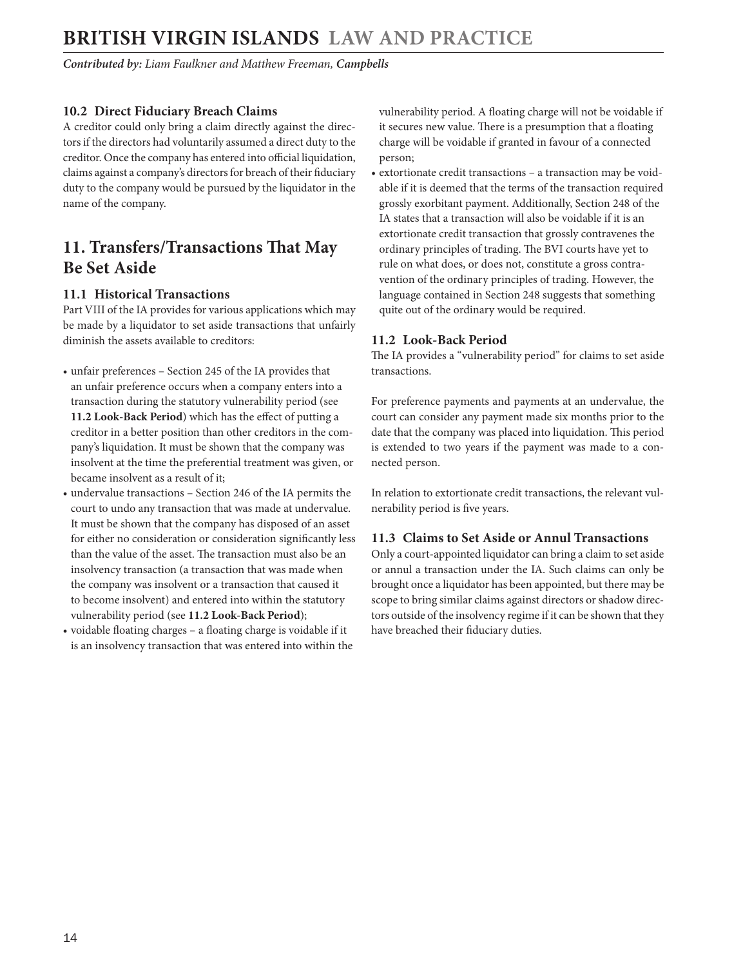<span id="page-13-0"></span>*Contributed by: Liam Faulkner and Matthew Freeman, Campbells* 

#### **10.2 Direct Fiduciary Breach Claims**

A creditor could only bring a claim directly against the directors if the directors had voluntarily assumed a direct duty to the creditor. Once the company has entered into official liquidation, claims against a company's directors for breach of their fiduciary duty to the company would be pursued by the liquidator in the name of the company.

## **11. Transfers/Transactions That May Be Set Aside**

#### **11.1 Historical Transactions**

Part VIII of the IA provides for various applications which may be made by a liquidator to set aside transactions that unfairly diminish the assets available to creditors:

- unfair preferences Section 245 of the IA provides that an unfair preference occurs when a company enters into a transaction during the statutory vulnerability period (see **11.2 Look-Back Period**) which has the effect of putting a creditor in a better position than other creditors in the company's liquidation. It must be shown that the company was insolvent at the time the preferential treatment was given, or became insolvent as a result of it;
- undervalue transactions Section 246 of the IA permits the court to undo any transaction that was made at undervalue. It must be shown that the company has disposed of an asset for either no consideration or consideration significantly less than the value of the asset. The transaction must also be an insolvency transaction (a transaction that was made when the company was insolvent or a transaction that caused it to become insolvent) and entered into within the statutory vulnerability period (see **11.2 Look-Back Period**);
- voidable floating charges a floating charge is voidable if it is an insolvency transaction that was entered into within the

vulnerability period. A floating charge will not be voidable if it secures new value. There is a presumption that a floating charge will be voidable if granted in favour of a connected person;

• extortionate credit transactions – a transaction may be voidable if it is deemed that the terms of the transaction required grossly exorbitant payment. Additionally, Section 248 of the IA states that a transaction will also be voidable if it is an extortionate credit transaction that grossly contravenes the ordinary principles of trading. The BVI courts have yet to rule on what does, or does not, constitute a gross contravention of the ordinary principles of trading. However, the language contained in Section 248 suggests that something quite out of the ordinary would be required.

#### **11.2 Look-Back Period**

The IA provides a "vulnerability period" for claims to set aside transactions.

For preference payments and payments at an undervalue, the court can consider any payment made six months prior to the date that the company was placed into liquidation. This period is extended to two years if the payment was made to a connected person.

In relation to extortionate credit transactions, the relevant vulnerability period is five years.

#### **11.3 Claims to Set Aside or Annul Transactions**

Only a court-appointed liquidator can bring a claim to set aside or annul a transaction under the IA. Such claims can only be brought once a liquidator has been appointed, but there may be scope to bring similar claims against directors or shadow directors outside of the insolvency regime if it can be shown that they have breached their fiduciary duties.